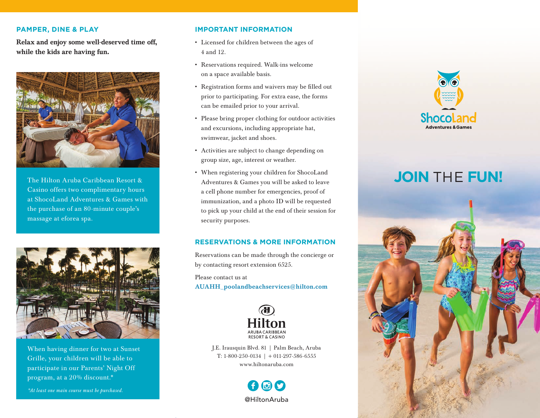#### **PAMPER, DINE & PLAY**

Relax and enjoy some well-deserved time off, while the kids are having fun.



The Hilton Aruba Caribbean Resort & Casino offers two complimentary hours at ShocoLand Adventures & Games with the purchase of an 80-minute couple's massage at eforea spa.



When having dinner for two at Sunset Grille, your children will be able to participate in our Parents' Night Off program, at a 20% discount.\*

*\*At least one main course must be purchased.*

### **IMPORTANT INFORMATION**

- Licensed for children between the ages of 4 and 12.
- Reservations required. Walk-ins welcome on a space available basis.
- Registration forms and waivers may be filled out prior to participating. For extra ease, the forms can be emailed prior to your arrival.
- Please bring proper clothing for outdoor activities and excursions, including appropriate hat, swimwear, jacket and shoes.
- Activities are subject to change depending on group size, age, interest or weather.
- When registering your children for ShocoLand Adventures & Games you will be asked to leave a cell phone number for emergencies, proof of immunization, and a photo ID will be requested to pick up your child at the end of their session for security purposes.

### **RESERVATIONS & MORE INFORMATION**

Reservations can be made through the concierge or by contacting resort extension 6525.

Please contact us at AUAHH\_poolandbeachservices@hilton.com



J.E. Irausquin Blvd. 81 | Palm Beach, Aruba T: 1-800-250-0134 | + 011-297-586-6555 www.hiltonaruba.com





# **JOIN** THE **FUN!**